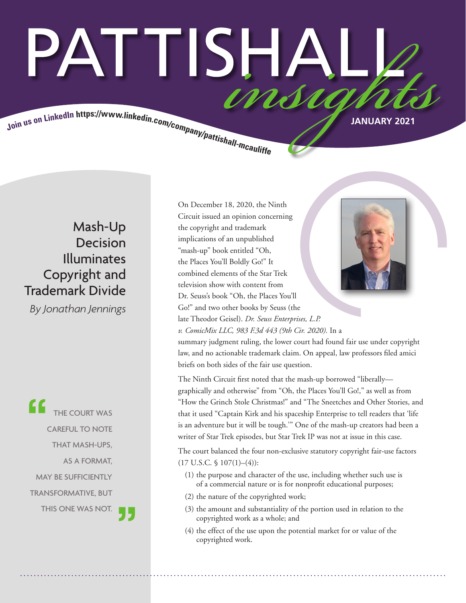# PATTISHAI Join us on LinkedIn https://www.linkedin.com/company/pattishall-mcause.

# Mash-Up Decision Illuminates Copyright and Trademark Divide

*By Jonathan Jennings*

THE COURT WAS CAREFUL TO NOTE THAT MASH-UPS, AS A FORMAT, MAY BE SUFFICIENTLY TRANSFORMATIVE, BUT THIS ONE WAS NOT.

On December 18, 2020, the Ninth Circuit issued an opinion concerning the copyright and trademark implications of an unpublished "mash-up" book entitled "Oh, the Places You'll Boldly Go!" It combined elements of the Star Trek television show with content from Dr. Seuss's book "Oh, the Places You'll Go!" and two other books by Seuss (the late Theodor Geisel). *Dr. Seuss Enterprises, L.P. v. ComicMix LLC, 983 F.3d 443 (9th Cir. 2020).* In a



summary judgment ruling, the lower court had found fair use under copyright law, and no actionable trademark claim. On appeal, law professors filed amici briefs on both sides of the fair use question.

The Ninth Circuit first noted that the mash-up borrowed "liberally graphically and otherwise" from "Oh, the Places You'll Go!," as well as from "How the Grinch Stole Christmas!" and "The Sneetches and Other Stories, and that it used "Captain Kirk and his spaceship Enterprise to tell readers that 'life is an adventure but it will be tough.'" One of the mash-up creators had been a writer of Star Trek episodes, but Star Trek IP was not at issue in this case.

The court balanced the four non-exclusive statutory copyright fair-use factors  $(17 \text{ U.S.C. } $107(1)–(4))$ :

- (1) the purpose and character of the use, including whether such use is of a commercial nature or is for nonprofit educational purposes;
- (2) the nature of the copyrighted work;
- (3) the amount and substantiality of the portion used in relation to the copyrighted work as a whole; and
- (4) the effect of the use upon the potential market for or value of the copyrighted work.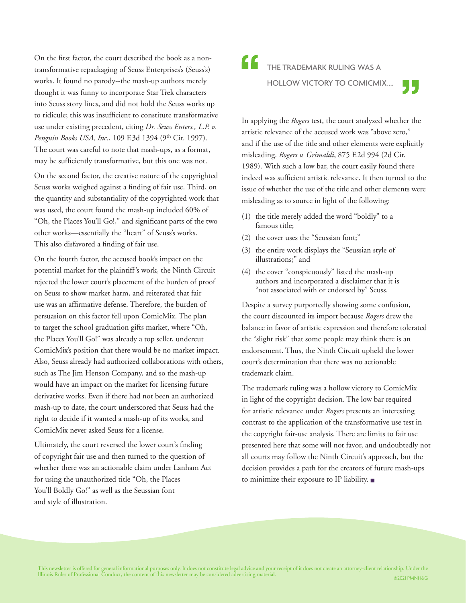On the first factor, the court described the book as a nontransformative repackaging of Seuss Enterprises's (Seuss's) works. It found no parody--the mash-up authors merely thought it was funny to incorporate Star Trek characters into Seuss story lines, and did not hold the Seuss works up to ridicule; this was insufficient to constitute transformative use under existing precedent, citing *Dr. Seuss Enters., L.P. v. Penguin Books USA, Inc.*, 109 F.3d 1394 (9th Cir. 1997). The court was careful to note that mash-ups, as a format, may be sufficiently transformative, but this one was not.

On the second factor, the creative nature of the copyrighted Seuss works weighed against a finding of fair use. Third, on the quantity and substantiality of the copyrighted work that was used, the court found the mash-up included 60% of "Oh, the Places You'll Go!," and significant parts of the two other works—essentially the "heart" of Seuss's works. This also disfavored a finding of fair use.

On the fourth factor, the accused book's impact on the potential market for the plaintiff's work, the Ninth Circuit rejected the lower court's placement of the burden of proof on Seuss to show market harm, and reiterated that fair use was an affirmative defense. Therefore, the burden of persuasion on this factor fell upon ComicMix. The plan to target the school graduation gifts market, where "Oh, the Places You'll Go!" was already a top seller, undercut ComicMix's position that there would be no market impact. Also, Seuss already had authorized collaborations with others, such as The Jim Henson Company, and so the mash-up would have an impact on the market for licensing future derivative works. Even if there had not been an authorized mash-up to date, the court underscored that Seuss had the right to decide if it wanted a mash-up of its works, and ComicMix never asked Seuss for a license.

Ultimately, the court reversed the lower court's finding of copyright fair use and then turned to the question of whether there was an actionable claim under Lanham Act for using the unauthorized title "Oh, the Places You'll Boldly Go!" as well as the Seussian font and style of illustration.

## THE TRADEMARK RULING WAS A HOLLOW VICTORY TO COMICMIX....- 15

In applying the *Rogers* test, the court analyzed whether the artistic relevance of the accused work was "above zero," and if the use of the title and other elements were explicitly misleading. *Rogers v. Grimaldi*, 875 F.2d 994 (2d Cir. 1989). With such a low bar, the court easily found there indeed was sufficient artistic relevance. It then turned to the issue of whether the use of the title and other elements were misleading as to source in light of the following:

- (1) the title merely added the word "boldly" to a famous title;
- (2) the cover uses the "Seussian font;"
- (3) the entire work displays the "Seussian style of illustrations;" and
- (4) the cover "conspicuously" listed the mash-up authors and incorporated a disclaimer that it is "not associated with or endorsed by" Seuss.

Despite a survey purportedly showing some confusion, the court discounted its import because *Rogers* drew the balance in favor of artistic expression and therefore tolerated the "slight risk" that some people may think there is an endorsement. Thus, the Ninth Circuit upheld the lower court's determination that there was no actionable trademark claim.

The trademark ruling was a hollow victory to ComicMix in light of the copyright decision. The low bar required for artistic relevance under *Rogers* presents an interesting contrast to the application of the transformative use test in the copyright fair-use analysis. There are limits to fair use presented here that some will not favor, and undoubtedly not all courts may follow the Ninth Circuit's approach, but the decision provides a path for the creators of future mash-ups to minimize their exposure to IP liability. ■